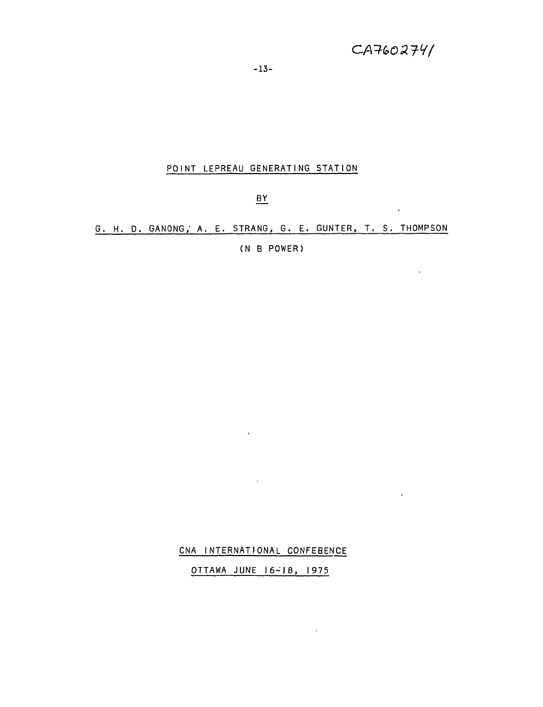$\sim 10^{-1}$ 

 $\sim 100$  km s  $^{-1}$ 

 $\sim 10^{-10}$ 

-13-

## POINT LEPREAU GENERATING STATION

BY

# G. H. D. GANONG/ A. E. STRANG, G. E. GUNTER, T. S. THOMPSON

(N B POWER)

CNA INTERNATIONAL CONFEBENCE

 $\sim 10^{-11}$ 

 $\sim 10^{11}$  km  $^{-1}$ 

OTTAWA JUNE 16-18, 1975

 $\sim 10^{11}$  km  $^{-1}$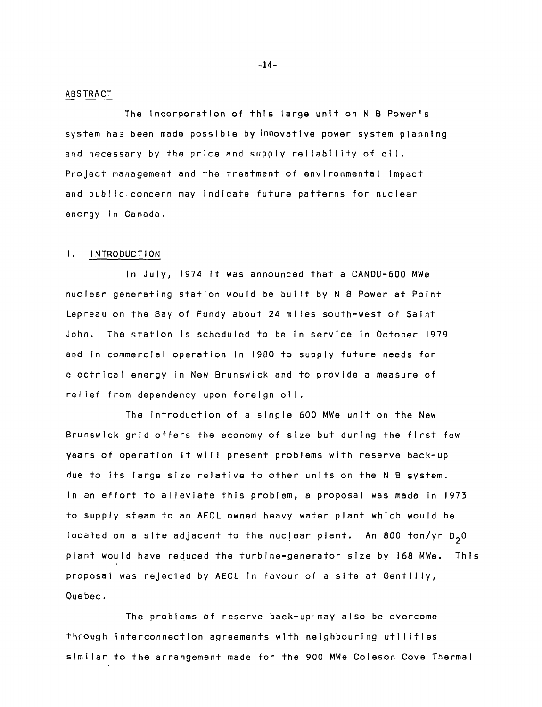#### ABSTRACT

The incorporation of this large unit on N B Power's system has been made possible by innovative power system planning and necessary by the price and supply reliability of oil. Project management and the treatment of environmental impact and public concern may indicate future patterns for nuclear energy in Canada.

### I. INTRODUCTION

In July, 1974 it was announced that a CANDU-600 MWe nuclear generating station would be built by N B Power at Point Lepreau on the Bay of Fundy about 24 miles south-west of Saint John. The station is scheduled to be in service in October 1979 and in commercial operation In 1980 to supply future needs for electrical energy in New Brunswick and to provide a measure of relief from dependency upon foreign oil.

The introduction of a single 600 MWe unit on the New Brunswick grid offers the economy of size but during the first few years of operation it will present problems with reserve back-up due to its large size relative to other units on the N B system. In an effort to alleviate this problem, a proposal was made in 1973 to supply steam to an AECL owned heavy water plant which would be located on a site adjacent to the nuclear plant. An 800 ton/yr D<sub>2</sub>0 plant would have reduced the turbine-generator size by 168 MWe. This proposal was rejected by AECL in favour of a site at Gentil ly, Quebec.

The problems of reserve back-up-may also be overcome through interconnection agreements with neighbouring utilities similar to the arrangement made for the 900 MWe Coleson Cove Thermal

-14-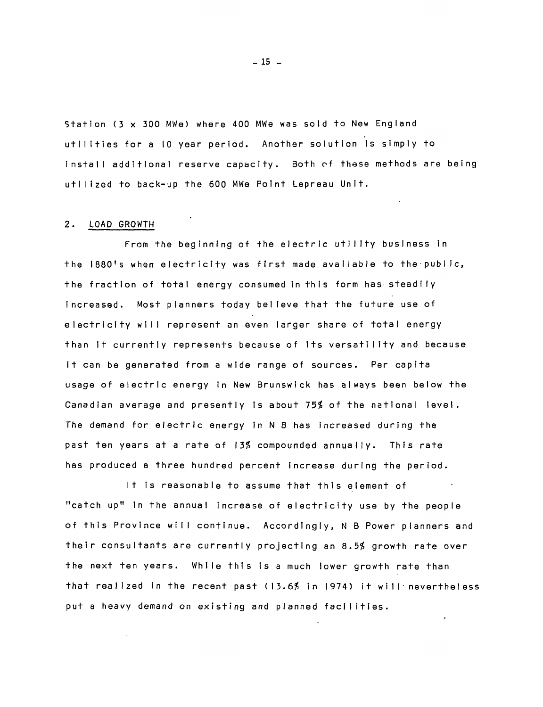Station (3 x 300 MWe) where 400 MWe was sold to New England utilities for a 10 year period. Another solution Is simply to install additional reserve capacity. Both of these methods are being utilized to back-up the 600 MWe Point Lepreau Unit.

#### 2. LOAD GROWTH

From the beginning of the electric utility business in the 1880's when electricity was first made available to the public, the fraction of total energy consumed in this form has steadily Increased. Most planners today believe that the future use of electricity will represent an even larger share of total energy than it currently represents because of its versatility and because it can be generated from a wide range of sources. Per capita usage of electric energy in New Brunswick has always been below the Canadian average and presently Is about 75\$ of the national level. The demand for electric energy In N B has Increased during the past ten years at a rate of 13\$ compounded annually. This rate has produced a three hundred percent Increase during the period.

It is reasonable to assume that this element of "catch up" in the annual Increase of electricity use by the people of this Province will continue. Accordingly, N B Power planners and their consultants are currently projecting an 8.5\$ growth rate over the next ten years. While this Is a much lower growth rate than that realized in the recent past (13.6% in 1974) it will nevertheless put a heavy demand on existing and planned facilities.

 $-15 -$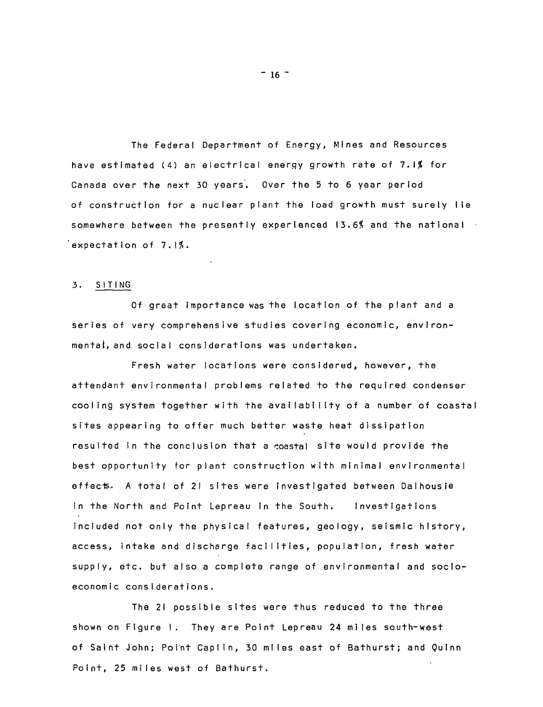The Federal Department of Energy, Mines and Resources have estimated (4) an electrical energy growth rate of 7.1\$ for Canada over the next 30 years. Over the 5 to 6 year period of construction for a nuclear plant the load growth must surely lie somewhere between the presently experienced 13.6\$ and the national expectation of 7.1%.

## 3. SITING

Of great importance was the location of the plant and a series of very comprehensive studies covering economic, environmental, and social considerations was undertaken.

Fresh water locations were considered, however, the attendant environmental problems related to the required condenser cooling system together with the availability of a number of coastal sites appearing to offer much better waste heat dissipation resulted in the conclusion that a coastal site would provide the best opportunity for plant construction with minimal environmental effects. A total of 21 sites were investigated between Dalhousie in the North and Point Lepreau in the South. Investigations included not only the physical features, geology, seismic history, access, intake and discharge facilities, population, fresh water supply, etc. but also a complete range of environmental and socioeconomic considerations.

The 21 possible sites were thus reduced to the three shown on Figure I. They are Point Lepreau 24 miles south-west of Saint John; Point Caplin, 30 miles east of Bathurst; and Quinn Point, 25 miles west of Bathurst.

 $-16 -$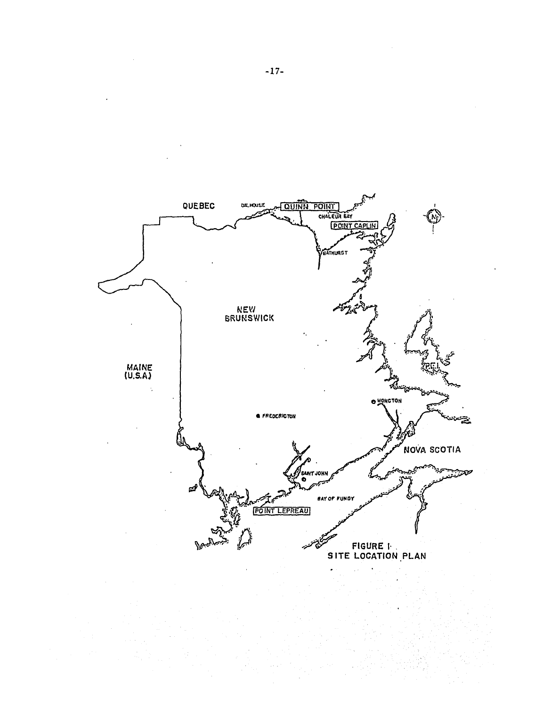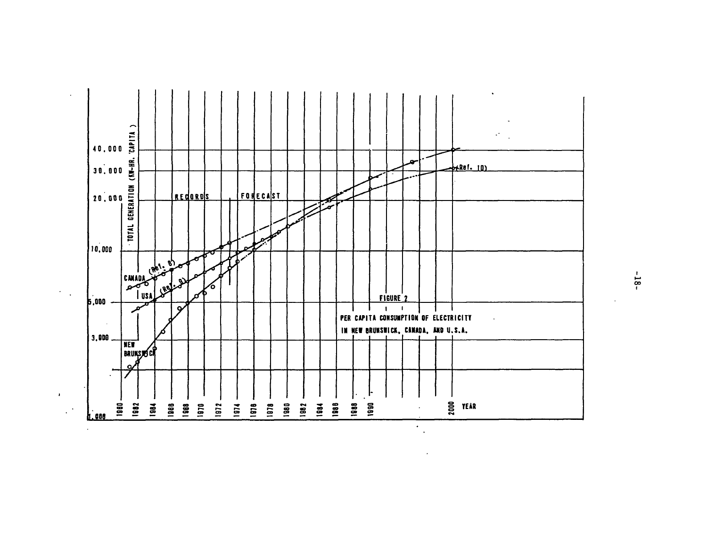

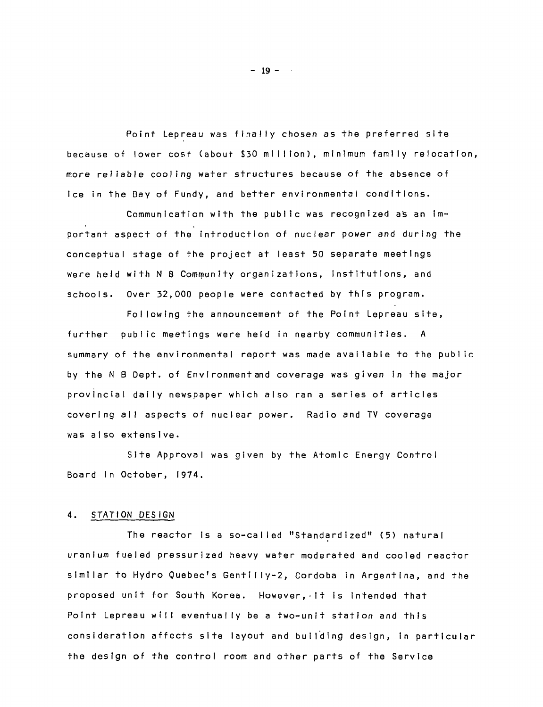Point Lepreau was finally chosen as the preferred site because of lower cost (about \$30 million), minimum family relocation, more reliable cooling water structures because of the absence of ice in the Bay of Fundy, and better environmental conditions.

Communication with the public was recognized as an important aspect of the introduction of nuclear power and during the conceptual stage of the project at least 50 separate meetings were held with N B Community organizations, institutions, and schools. Over 32,000 people were contacted by this program.

Following the announcement of the Point Lepreau site, further public meetings were held in nearby communities. A summary of the environmental report was made available to the public by the N B Dept. of Environmentand coverage was given in the major provincial daily newspaper which also ran a series of articles covering all aspects of nuclear power. Radio and TV coverage was also extensive.

Site Approval was given by the Atomic Energy Control Board in October, 1974.

## 4. STATION DESIGN

The reactor is a so-called "Standardized" (5) natural uranium fueled pressurized heavy water moderated and cooled reactor similar to Hydro Quebec's Gentilly-2, Cordoba in Argentina, and the proposed unit for South Korea. However, it is intended that Point Lepreau will eventually be a two-unit station and this consideration affects site layout and building design, in particular the design of the control room and other parts of the Service

 $- 19 -$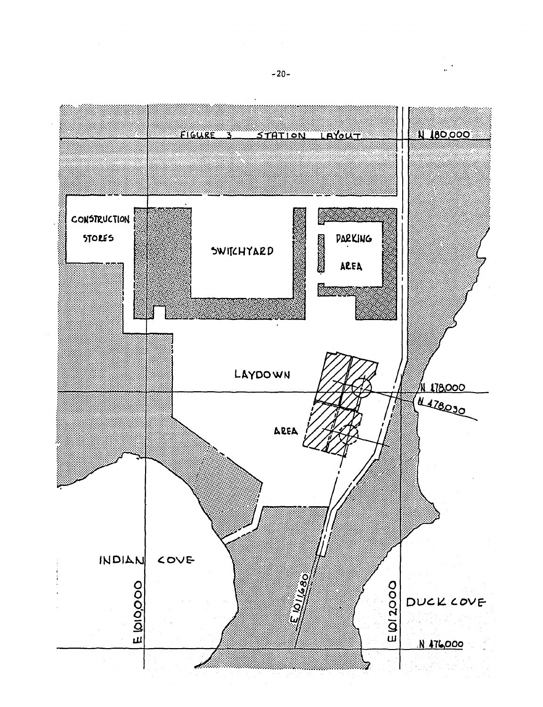

 $-20-$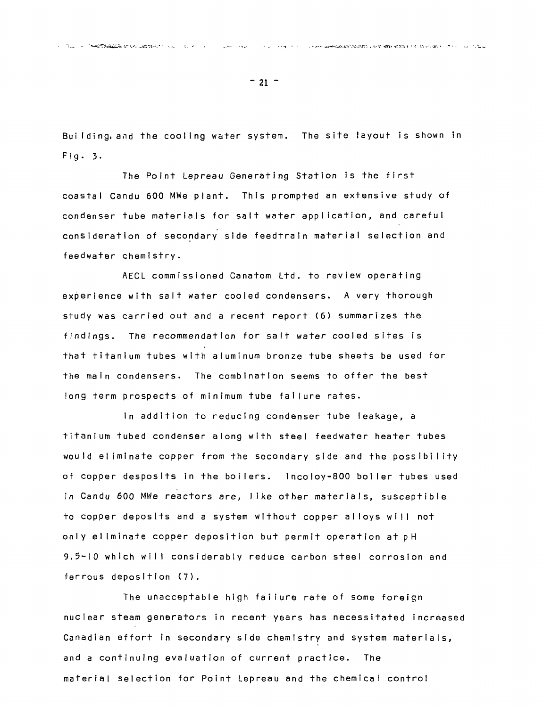$-21 -$ 

Building,and the cooling water system. The site layout is shown in  $Fig. 3.$ 

The Point Lepreau Generating Station is the first coastal Candu 600 MWe plant. This prompted an extensive study of condenser tube materials for salt water application, and careful consideration of secondary side feedtrain material selection and feedwater chemistry.

AECL commissioned Canatom Ltd. to review operating experience with salt water cooled condensers. A very thorough study was carried out and a recent report (6) summarizes the findings. The recommendation for salt water cooled sites is that titanium tubes with aluminum bronze tube sheets be used for the main condensers. The combination seems to offer the best long term prospects of minimum tube failure rates.

In addition to reducing condenser tube leakage, a titanium tubed condenser along with steel feedwater heater tubes would eliminate copper from the secondary side and the possibility of copper desposits in the boilers. lncoloy-800 boiler tubes used in Candu 600 MWe reactors are, like other materials, susceptible to copper deposits and a system without copper alloys will not only eliminate copper deposition but permit operation at pH 9.5-10 which will considerably reduce carbon steel corrosion and ferrous deposition (7).

The unacceptable high failure rate of some foreign nuclear steam generators in recent years has necessitated increased Canadian effort in secondary side chemistry and system materials, and a continuing evaluation of current practice. The material selection for Point Lepreau and the chemical control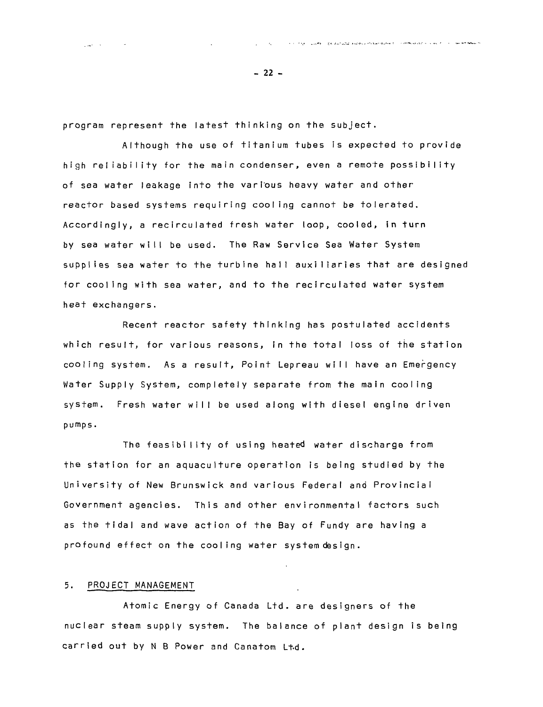program represent the latest thinking on the subject.

أنادي والمتوارد

 $\sim 100$  km s  $^{-1}$ 

Although the use of titanium tubes is expected to provide high reliability for the main condenser, even a remote possibility of sea water leakage into the various heavy water and other reactor based systems requiring cooling cannot be tolerated. Accordingly, a recirculated fresh water loop, cooled, in turn by sea water will be used. The Raw Service Sea Water System supplies sea water to the turbine hall auxiliaries that are designed for cooling with sea water, and to the recirculated water system heat exchangers.

Recent reactor safety thinking has postulated accidents which result, for various reasons, in the total loss of the station cooling system. As a result, Point Lepreau will have an Emergency Water Supply System, completely separate from the main cooling system. Fresh water will be used along with diesel engine driven pumps.

The feasibility of using heated water discharge from the station for an aquaculture operation is being studied by the University of New Brunswick and various Federal and Provincial Government agencies. This and other environmental factors such as the tidal and wave action of the Bay of Fundy are having a profound effect on the cooling water system design.

## 5. PROJECT MANAGEMENT

Atomic Energy of Canada Ltd. are designers of the nuclear steam supply system. The balance of plant design is being carried out by N B Power and Canatom Ltd.

 $- 22 -$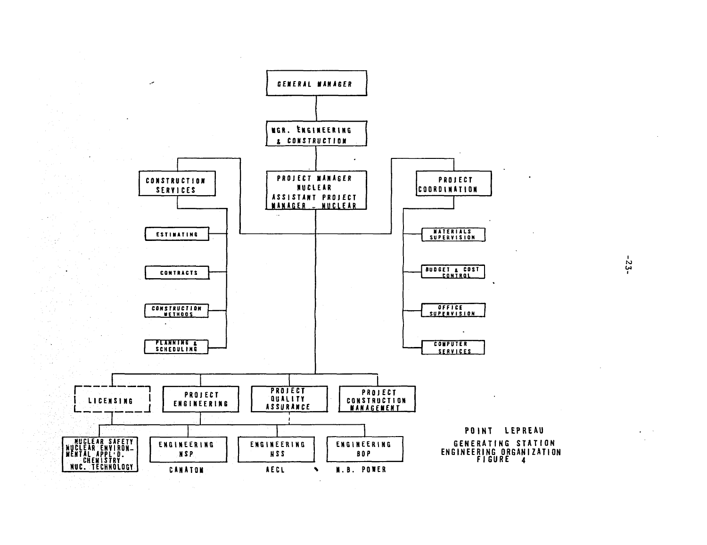

i **to**  (A)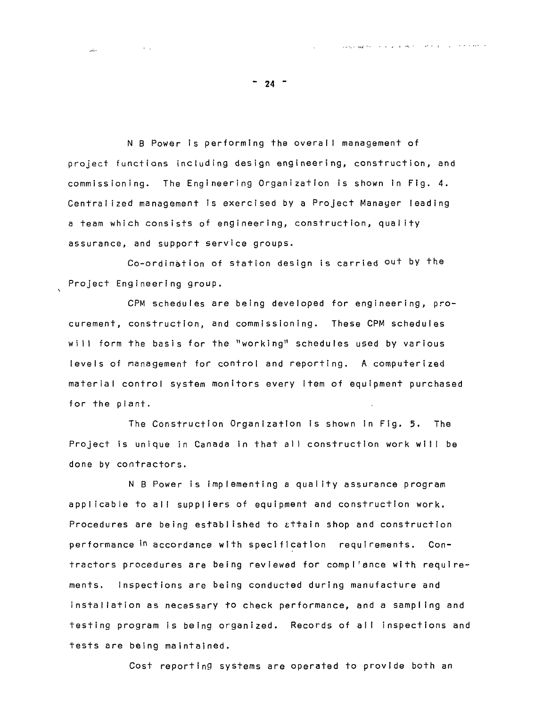N B Power is performing the overall management of project functions including design engineering, construction, and commissioning. The Engineering Organization is shown in Fig. 4. Centralized management is exercised by a Project Manager leading a team which consists of engineering, construction, quality assurance, and support service groups.

Co-ordination of station design is carried out by the Project Engineering group.

CPM schedules are being developed for engineering, procurement, construction, and commissioning. These CPM schedules will form the basis for the "working" schedules used by various levels of management for control and reporting. A computerized material control system monitors every item of equipment purchased for the plant.

The Construction Organization is shown in Fig. 5. The Project is unique in Canada in that all construction work will be done by contractors.

N B Power is implementing a quality assurance program applicable to all suppliers of equipment and construction work. Procedures are being established to attain shop and construction performance in accordance with specification requirements. Contractors procedures are being reviewed for compl'ance with requirements. Inspections are being conducted during manufacture and installation as necessary to check performance, and a sampling and testing program is being organized. Records of all inspections and tests are being maintained.

Cost reporting systems are operated to provide both an

 $-24$   $-$ 

 $\mathcal{L}^{\text{max}}_{\text{max}}$  and  $\mathcal{L}^{\text{max}}_{\text{max}}$ 

 $\mathbf{L}$ 

investigation of the company of the company of the state of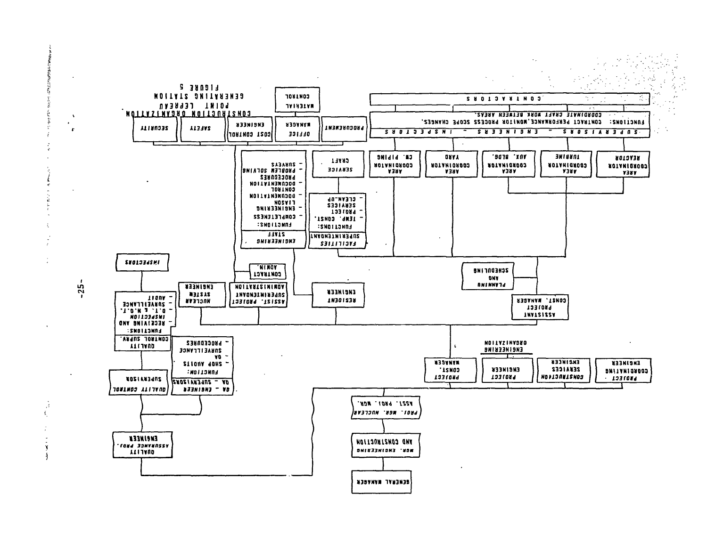

 $\mathbf{r}$  $-25 -$ 

 $\frac{1}{3}$ 

 $\frac{1}{2}$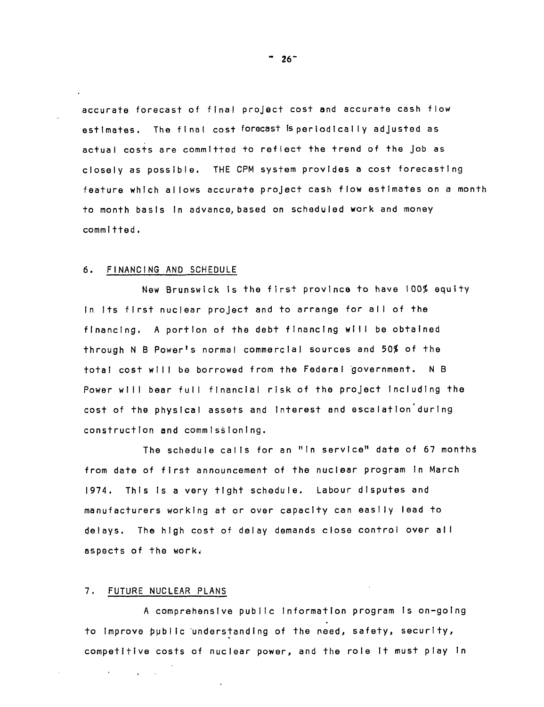**accurate forecast of final project cost and accurate cash flow**  estimates. The final cost forecast is periodically adjusted as **actual costs are committed to reflect the trend of the Job as closely as possible. THE CPM system provides a cost forecasting feature which allows accurate project cash flow estimates on a month to month basis In advance,based on scheduled work and money committed.** 

## **6. FINANCING AND SCHEDULE**

New Brunswick is the first province to have 100% equity **In Its first nuclear project and to arrange for all of the financing. A portion of the debt financing will be obtained through N B Power's normal commercial sources and 505f of the total cost will be borrowed from the Federal government. N B Power will bear full financial risk of the project Including the cost of the physical assets and interest and escalation during construction and commissioning.** 

**T he schedule calls for an "In service" date of 67 months from date of first announcement of the nuclear program In March 1974. This is a very tight schedule. Labour disputes and manufacturers working at or over capacity can easily lead to delays. The high cost of delay demands close control over all aspects of the work.-**

## **7. FUTURE NUCLEAR PLANS**

 $\mathcal{L}_{\mathbf{z}}$  and  $\mathcal{L}_{\mathbf{z}}$ 

**A comprehensive public Information program Is on-going to improve public understanding of the need, safety, security, competitive costs of nuclear power, and the role it must play In** 

 $-26$ <sup>-</sup>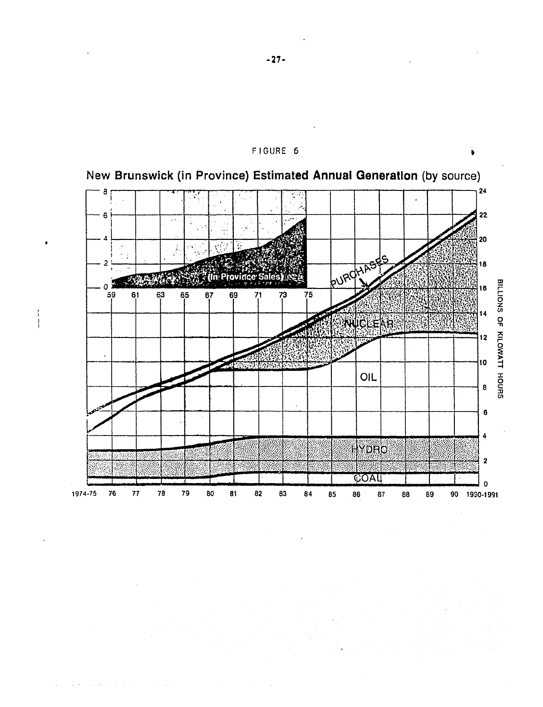

FIGURE 6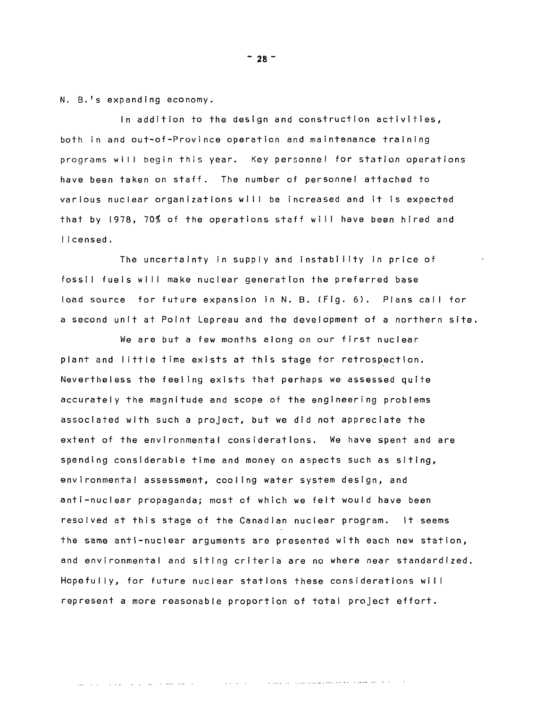N. B.'s expanding economy.

In addition to the design and construction activities, both in and out-of-Provinee operation and maintenance training programs will begin this year. Key personnel for station operations have been taken on staff. The number of personnel attached to various nuclear organizations will be increased and it is expected that by 1978, 70\$ of the operations staff will have been hired and I i censed.

The uncertainty in supply and instability in price of fossil fuels will make nuclear generation the preferred base load source for future expansion in N. B. (Fig. 6). Plans call for a second unit at Point Lepreau and the development of a northern site.

We are but a few months along on our first nuclear plant and little time exists at this stage for retrospection. Nevertheless the feeling exists that perhaps we assessed quite accurately the magnitude and scope of the engineering problems associated with such a project, but we did not appreciate the extent of the environmental considerations. We have spent and are spending considerable time and money on aspects such as siting, environmental assessment, cooling water system design, and anti-nuclear propaganda; most of which we felt would have been resolved at this stage of the Canadian nuclear program. it seems the same anti-nuclear arguments are presented with each new station, and environmental and siting criteria are no where near standardized. Hopefully, for future nuclear stations these considerations will represent a more reasonable proportion of total project effort.

 $-28 -$